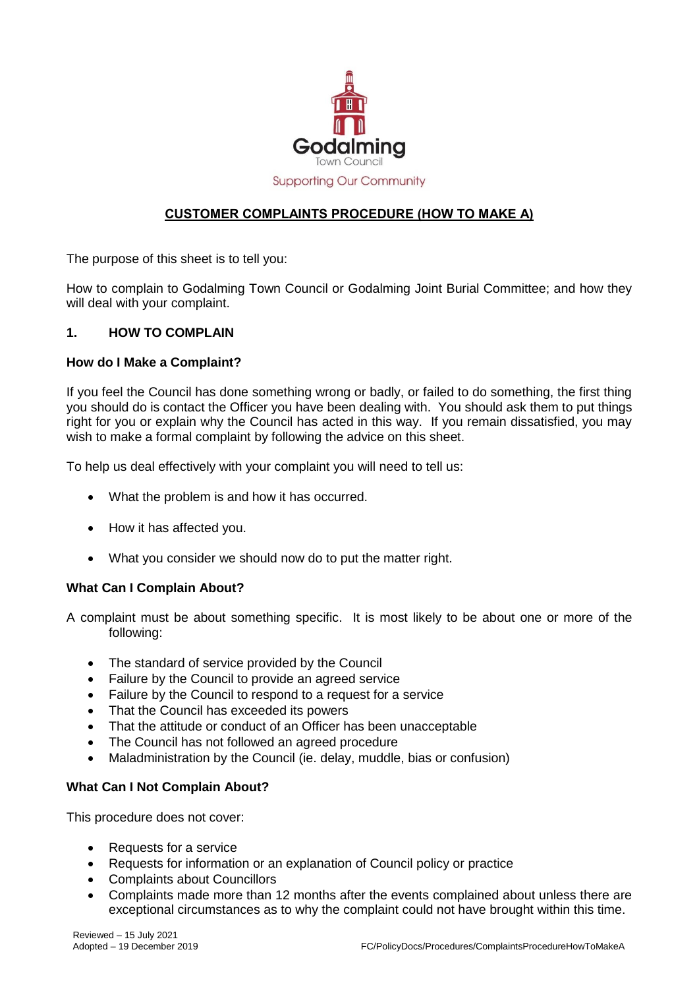

# **Supporting Our Community**

## **CUSTOMER COMPLAINTS PROCEDURE (HOW TO MAKE A)**

The purpose of this sheet is to tell you:

How to complain to Godalming Town Council or Godalming Joint Burial Committee; and how they will deal with your complaint.

## **1. HOW TO COMPLAIN**

### **How do I Make a Complaint?**

If you feel the Council has done something wrong or badly, or failed to do something, the first thing you should do is contact the Officer you have been dealing with. You should ask them to put things right for you or explain why the Council has acted in this way. If you remain dissatisfied, you may wish to make a formal complaint by following the advice on this sheet.

To help us deal effectively with your complaint you will need to tell us:

- What the problem is and how it has occurred.
- How it has affected you.
- What you consider we should now do to put the matter right.

#### **What Can I Complain About?**

A complaint must be about something specific. It is most likely to be about one or more of the following:

- The standard of service provided by the Council
- Failure by the Council to provide an agreed service
- Failure by the Council to respond to a request for a service
- That the Council has exceeded its powers
- That the attitude or conduct of an Officer has been unacceptable
- The Council has not followed an agreed procedure
- Maladministration by the Council (ie. delay, muddle, bias or confusion)

### **What Can I Not Complain About?**

This procedure does not cover:

- Requests for a service
- Requests for information or an explanation of Council policy or practice
- Complaints about Councillors
- Complaints made more than 12 months after the events complained about unless there are exceptional circumstances as to why the complaint could not have brought within this time.